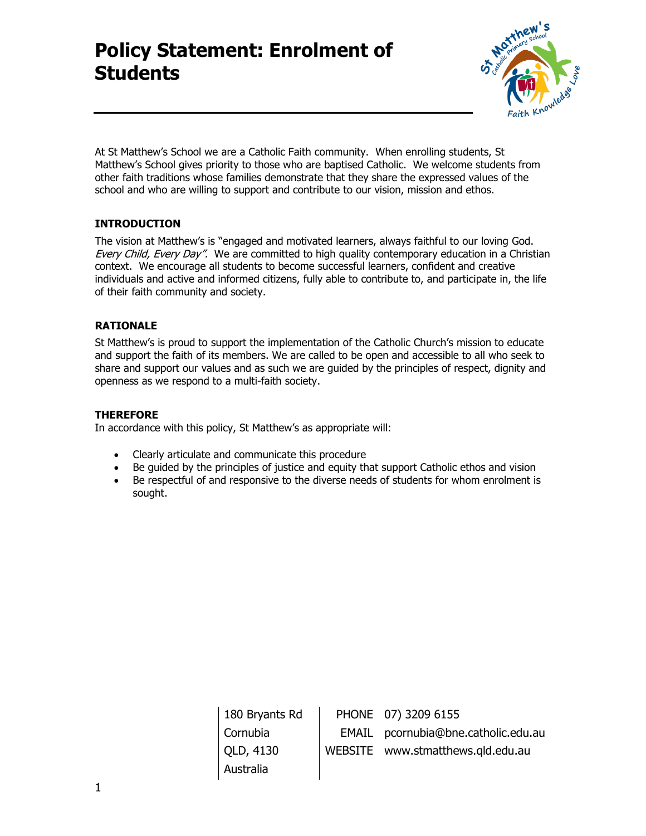

At St Matthew's School we are a Catholic Faith community. When enrolling students, St Matthew's School gives priority to those who are baptised Catholic. We welcome students from other faith traditions whose families demonstrate that they share the expressed values of the school and who are willing to support and contribute to our vision, mission and ethos.

# **INTRODUCTION**

The vision at Matthew's is "engaged and motivated learners, always faithful to our loving God. Every Child, Every Day". We are committed to high quality contemporary education in a Christian context. We encourage all students to become successful learners, confident and creative individuals and active and informed citizens, fully able to contribute to, and participate in, the life of their faith community and society.

### **RATIONALE**

St Matthew's is proud to support the implementation of the Catholic Church's mission to educate and support the faith of its members. We are called to be open and accessible to all who seek to share and support our values and as such we are guided by the principles of respect, dignity and openness as we respond to a multi-faith society.

## **THEREFORE**

In accordance with this policy, St Matthew's as appropriate will:

- Clearly articulate and communicate this procedure
- Be guided by the principles of justice and equity that support Catholic ethos and vision
- Be respectful of and responsive to the diverse needs of students for whom enrolment is sought.

180 Bryants Rd Cornubia QLD, 4130 Australia PHONE 07) 3209 6155 EMAIL pcornubia@bne.catholic.edu.au WEBSITE www.stmatthews.qld.edu.au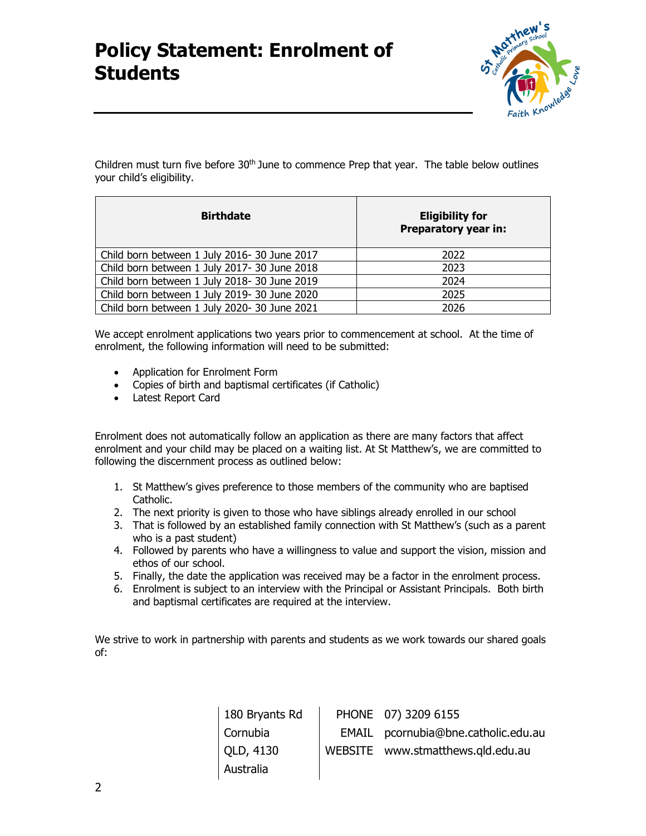

Children must turn five before 30<sup>th</sup> June to commence Prep that year. The table below outlines your child's eligibility.

| <b>Birthdate</b>                            | <b>Eligibility for</b><br>Preparatory year in: |
|---------------------------------------------|------------------------------------------------|
| Child born between 1 July 2016-30 June 2017 | 2022                                           |
| Child born between 1 July 2017-30 June 2018 | 2023                                           |
| Child born between 1 July 2018-30 June 2019 | 2024                                           |
| Child born between 1 July 2019-30 June 2020 | 2025                                           |
| Child born between 1 July 2020-30 June 2021 | 2026                                           |

We accept enrolment applications two years prior to commencement at school. At the time of enrolment, the following information will need to be submitted:

- Application for Enrolment Form
- Copies of birth and baptismal certificates (if Catholic)
- Latest Report Card

Enrolment does not automatically follow an application as there are many factors that affect enrolment and your child may be placed on a waiting list. At St Matthew's, we are committed to following the discernment process as outlined below:

- 1. St Matthew's gives preference to those members of the community who are baptised Catholic.
- 2. The next priority is given to those who have siblings already enrolled in our school
- 3. That is followed by an established family connection with St Matthew's (such as a parent who is a past student)
- 4. Followed by parents who have a willingness to value and support the vision, mission and ethos of our school.
- 5. Finally, the date the application was received may be a factor in the enrolment process.
- 6. Enrolment is subject to an interview with the Principal or Assistant Principals. Both birth and baptismal certificates are required at the interview.

We strive to work in partnership with parents and students as we work towards our shared goals of:

| 180 Bryants Rd | PHONE 07) 3209 6155                 |
|----------------|-------------------------------------|
| Cornubia       | EMAIL pcornubia@bne.catholic.edu.au |
| QLD, 4130      | WEBSITE www.stmatthews.gld.edu.au   |
| Australia      |                                     |